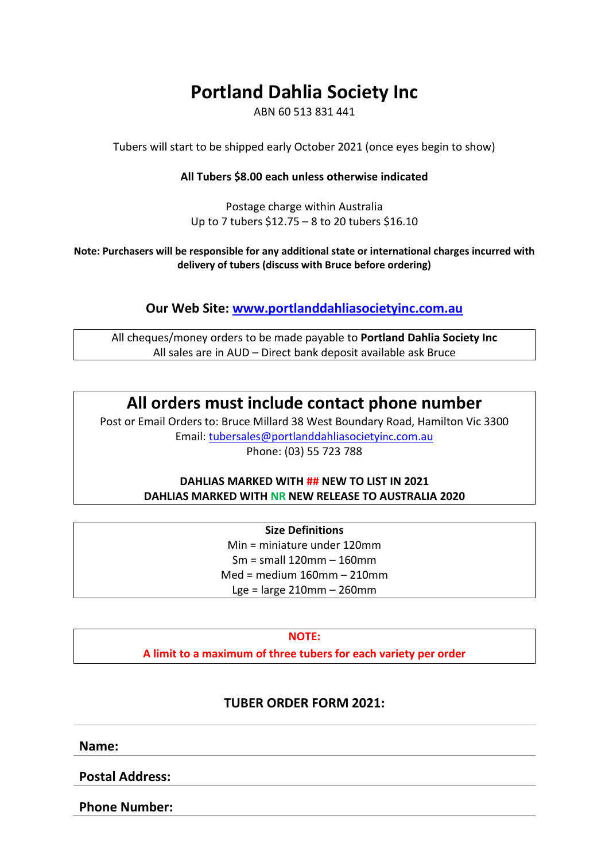#### **Portland Dahlia Society Inc**

ABN 60 513 831 441

Tubers will start to be shipped early October 2021 (once eyes begin to show)

#### **All Tubers \$8.00 each unless otherwise indicated**

Postage charge within Australia Up to 7 tubers \$12.75 – 8 to 20 tubers \$16.10

**Note: Purchasers will be responsible for any additional state or international charges incurred with delivery of tubers (discuss with Bruce before ordering)**

#### **Our Web Site: [www.portlanddahliasocietyinc.com.au](http://www.portlanddahliasocietyinc.com.au/)**

All cheques/money orders to be made payable to **Portland Dahlia Society Inc** All sales are in AUD – Direct bank deposit available ask Bruce

#### **All orders must include contact phone number**

Post or Email Orders to: Bruce Millard 38 West Boundary Road, Hamilton Vic 3300 Email: [tubersales@portlanddahliasocietyi](mailto:tubersales@portlanddahliasocietyinc.com.au)nc.com.au Phone: (03) 55 723 788

#### **DAHLIAS MARKED WITH ## NEW TO LIST IN 2021 DAHLIAS MARKED WITH NR NEW RELEASE TO AUSTRALIA 2020**

**Size Definitions** Min = miniature under 120mm Sm = small 120mm – 160mm Med = medium 160mm – 210mm Lge = large 210mm – 260mm

#### **NOTE:**

**A limit to a maximum of three tubers for each variety per order**

#### **TUBER ORDER FORM 2021:**

**Name:**

**Postal Address:**

**Phone Number:**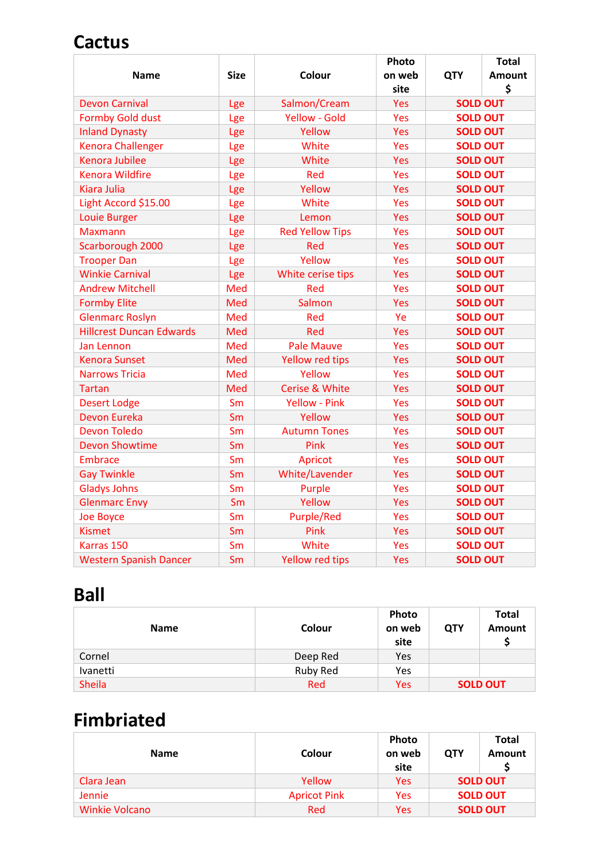### **Cactus**

|                                 |             |                        | Photo      |                 | <b>Total</b>  |
|---------------------------------|-------------|------------------------|------------|-----------------|---------------|
| <b>Name</b>                     | <b>Size</b> | Colour                 | on web     | <b>QTY</b>      | <b>Amount</b> |
|                                 |             |                        | site       |                 | \$            |
| <b>Devon Carnival</b>           | Lge         | Salmon/Cream           | <b>Yes</b> | <b>SOLD OUT</b> |               |
| <b>Formby Gold dust</b>         | Lge         | <b>Yellow - Gold</b>   | Yes        | <b>SOLD OUT</b> |               |
| <b>Inland Dynasty</b>           | Lge         | Yellow                 | Yes        | <b>SOLD OUT</b> |               |
| <b>Kenora Challenger</b>        | Lge         | White                  | Yes        | <b>SOLD OUT</b> |               |
| <b>Kenora Jubilee</b>           | Lge         | White                  | <b>Yes</b> | <b>SOLD OUT</b> |               |
| <b>Kenora Wildfire</b>          | Lge         | Red                    | Yes        | <b>SOLD OUT</b> |               |
| <b>Kiara Julia</b>              | Lge         | Yellow                 | Yes        | <b>SOLD OUT</b> |               |
| Light Accord \$15.00            | Lge         | White                  | Yes        | <b>SOLD OUT</b> |               |
| <b>Louie Burger</b>             | Lge         | Lemon                  | <b>Yes</b> | <b>SOLD OUT</b> |               |
| <b>Maxmann</b>                  | Lge         | <b>Red Yellow Tips</b> | Yes        | <b>SOLD OUT</b> |               |
| Scarborough 2000                | Lge         | Red                    | Yes        | <b>SOLD OUT</b> |               |
| <b>Trooper Dan</b>              | Lge         | Yellow                 | Yes        | <b>SOLD OUT</b> |               |
| <b>Winkie Carnival</b>          | Lge         | White cerise tips      | Yes        | <b>SOLD OUT</b> |               |
| <b>Andrew Mitchell</b>          | Med         | Red                    | Yes        | <b>SOLD OUT</b> |               |
| <b>Formby Elite</b>             | Med         | Salmon                 | <b>Yes</b> | <b>SOLD OUT</b> |               |
| <b>Glenmarc Roslyn</b>          | Med         | Red                    | Ye         | <b>SOLD OUT</b> |               |
| <b>Hillcrest Duncan Edwards</b> | Med         | Red                    | Yes        | <b>SOLD OUT</b> |               |
| <b>Jan Lennon</b>               | Med         | <b>Pale Mauve</b>      | Yes        | <b>SOLD OUT</b> |               |
| <b>Kenora Sunset</b>            | Med         | Yellow red tips        | Yes        | <b>SOLD OUT</b> |               |
| <b>Narrows Tricia</b>           | Med         | Yellow                 | Yes        | <b>SOLD OUT</b> |               |
| <b>Tartan</b>                   | Med         | Cerise & White         | Yes        | <b>SOLD OUT</b> |               |
| <b>Desert Lodge</b>             | Sm          | <b>Yellow - Pink</b>   | Yes        | <b>SOLD OUT</b> |               |
| <b>Devon Eureka</b>             | Sm          | Yellow                 | <b>Yes</b> | <b>SOLD OUT</b> |               |
| <b>Devon Toledo</b>             | Sm          | <b>Autumn Tones</b>    | Yes        | <b>SOLD OUT</b> |               |
| <b>Devon Showtime</b>           | Sm          | Pink                   | Yes        | <b>SOLD OUT</b> |               |
| <b>Embrace</b>                  | Sm          | Apricot                | Yes        | <b>SOLD OUT</b> |               |
| <b>Gay Twinkle</b>              | Sm          | White/Lavender         | <b>Yes</b> | <b>SOLD OUT</b> |               |
| <b>Gladys Johns</b>             | Sm          | Purple                 | Yes        | <b>SOLD OUT</b> |               |
| <b>Glenmarc Envy</b>            | Sm          | Yellow                 | Yes        | <b>SOLD OUT</b> |               |
| Joe Boyce                       | Sm          | <b>Purple/Red</b>      | Yes        | <b>SOLD OUT</b> |               |
| <b>Kismet</b>                   | Sm          | Pink                   | <b>Yes</b> | <b>SOLD OUT</b> |               |
| Karras 150                      | Sm          | White                  | Yes        | <b>SOLD OUT</b> |               |
| <b>Western Spanish Dancer</b>   | Sm          | Yellow red tips        | Yes        | <b>SOLD OUT</b> |               |

## **Ball**

| <b>Name</b>     | <b>Colour</b>   | Photo<br>on web<br>site | <b>QTY</b> | Total<br><b>Amount</b> |
|-----------------|-----------------|-------------------------|------------|------------------------|
| Cornel          | Deep Red        | <b>Yes</b>              |            |                        |
| <b>Ivanetti</b> | <b>Ruby Red</b> | Yes                     |            |                        |
| <b>Sheila</b>   | Red             | Yes                     |            | <b>SOLD OUT</b>        |

## **Fimbriated**

| <b>Name</b>    | Colour              | Photo<br>on web<br>site | <b>QTY</b> | <b>Total</b><br><b>Amount</b> |
|----------------|---------------------|-------------------------|------------|-------------------------------|
| Clara Jean     | Yellow              | Yes                     |            | <b>SOLD OUT</b>               |
| <b>Jennie</b>  | <b>Apricot Pink</b> | Yes                     |            | <b>SOLD OUT</b>               |
| Winkie Volcano | Red                 | Yes                     |            | <b>SOLD OUT</b>               |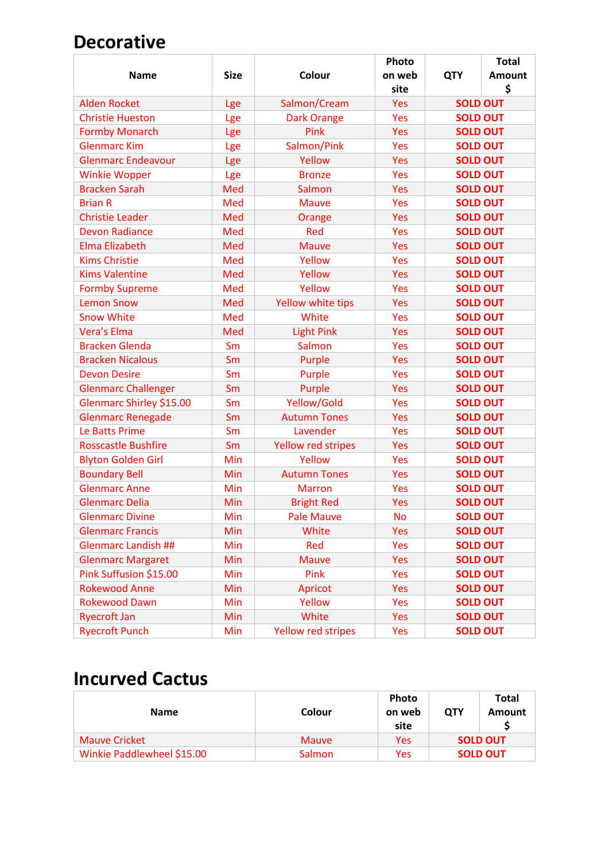### **Decorative**

|                            |             |                           | Photo     |                 | <b>Total</b>  |
|----------------------------|-------------|---------------------------|-----------|-----------------|---------------|
| <b>Name</b>                | <b>Size</b> | Colour                    | on web    | <b>QTY</b>      | <b>Amount</b> |
|                            |             |                           | site      |                 | \$            |
| <b>Alden Rocket</b>        | Lge         | Salmon/Cream              | Yes       | <b>SOLD OUT</b> |               |
| <b>Christie Hueston</b>    | Lge         | <b>Dark Orange</b>        | Yes       | <b>SOLD OUT</b> |               |
| <b>Formby Monarch</b>      | Lge         | Pink                      | Yes       | <b>SOLD OUT</b> |               |
| <b>Glenmarc Kim</b>        | Lge         | Salmon/Pink               | Yes       | <b>SOLD OUT</b> |               |
| <b>Glenmarc Endeavour</b>  | Lge         | Yellow                    | Yes       | <b>SOLD OUT</b> |               |
| <b>Winkie Wopper</b>       | Lge         | <b>Bronze</b>             | Yes       | <b>SOLD OUT</b> |               |
| <b>Bracken Sarah</b>       | Med         | Salmon                    | Yes       | <b>SOLD OUT</b> |               |
| <b>Brian R</b>             | Med         | <b>Mauve</b>              | Yes       | <b>SOLD OUT</b> |               |
| <b>Christie Leader</b>     | Med         | Orange                    | Yes       | <b>SOLD OUT</b> |               |
| <b>Devon Radiance</b>      | Med         | Red                       | Yes       | <b>SOLD OUT</b> |               |
| <b>Elma Elizabeth</b>      | Med         | <b>Mauve</b>              | Yes       | <b>SOLD OUT</b> |               |
| <b>Kims Christie</b>       | Med         | Yellow                    | Yes       | <b>SOLD OUT</b> |               |
| <b>Kims Valentine</b>      | Med         | Yellow                    | Yes       | <b>SOLD OUT</b> |               |
| <b>Formby Supreme</b>      | Med         | Yellow                    | Yes       | <b>SOLD OUT</b> |               |
| <b>Lemon Snow</b>          | Med         | Yellow white tips         | Yes       | <b>SOLD OUT</b> |               |
| <b>Snow White</b>          | Med         | White                     | Yes       | <b>SOLD OUT</b> |               |
| Vera's Elma                | Med         | <b>Light Pink</b>         | Yes       | <b>SOLD OUT</b> |               |
| <b>Bracken Glenda</b>      | Sm          | Salmon                    | Yes       | <b>SOLD OUT</b> |               |
| <b>Bracken Nicalous</b>    | Sm          | Purple                    | Yes       | <b>SOLD OUT</b> |               |
| <b>Devon Desire</b>        | Sm          | Purple                    | Yes       | <b>SOLD OUT</b> |               |
| <b>Glenmarc Challenger</b> | Sm          | Purple                    | Yes       | <b>SOLD OUT</b> |               |
| Glenmarc Shirley \$15.00   | Sm          | Yellow/Gold               | Yes       | <b>SOLD OUT</b> |               |
| <b>Glenmarc Renegade</b>   | Sm          | <b>Autumn Tones</b>       | Yes       | <b>SOLD OUT</b> |               |
| Le Batts Prime             | Sm          | Lavender                  | Yes       | <b>SOLD OUT</b> |               |
| <b>Rosscastle Bushfire</b> | Sm          | <b>Yellow red stripes</b> | Yes       | <b>SOLD OUT</b> |               |
| <b>Blyton Golden Girl</b>  | Min         | Yellow                    | Yes       | <b>SOLD OUT</b> |               |
| <b>Boundary Bell</b>       | Min         | <b>Autumn Tones</b>       | Yes       | <b>SOLD OUT</b> |               |
| <b>Glenmarc Anne</b>       | Min         | <b>Marron</b>             | Yes       | <b>SOLD OUT</b> |               |
| <b>Glenmarc Delia</b>      | Min         | <b>Bright Red</b>         | Yes       | <b>SOLD OUT</b> |               |
| <b>Glenmarc Divine</b>     | Min         | <b>Pale Mauve</b>         | <b>No</b> | <b>SOLD OUT</b> |               |
| <b>Glenmarc Francis</b>    | Min         | White                     | Yes       | <b>SOLD OUT</b> |               |
| <b>Glenmarc Landish ##</b> | Min         | Red                       | Yes       | <b>SOLD OUT</b> |               |
| <b>Glenmarc Margaret</b>   | Min         | <b>Mauve</b>              | Yes       | <b>SOLD OUT</b> |               |
| Pink Suffusion \$15.00     | Min         | Pink                      | Yes       | <b>SOLD OUT</b> |               |
| <b>Rokewood Anne</b>       | Min         | Apricot                   | Yes       | <b>SOLD OUT</b> |               |
| <b>Rokewood Dawn</b>       | Min         | Yellow                    | Yes       | <b>SOLD OUT</b> |               |
| <b>Ryecroft Jan</b>        | Min         | White                     | Yes       | <b>SOLD OUT</b> |               |
| <b>Ryecroft Punch</b>      | Min         | Yellow red stripes        | Yes       | <b>SOLD OUT</b> |               |

#### **Incurved Cactus**

| <b>Name</b>                | Colour        | Photo<br>on web<br>site | <b>OTY</b> | Total<br>Amount |
|----------------------------|---------------|-------------------------|------------|-----------------|
| <b>Mauve Cricket</b>       | <b>Mauve</b>  | Yes                     |            | <b>SOLD OUT</b> |
| Winkie Paddlewheel \$15.00 | <b>Salmon</b> | Yes                     |            | <b>SOLD OUT</b> |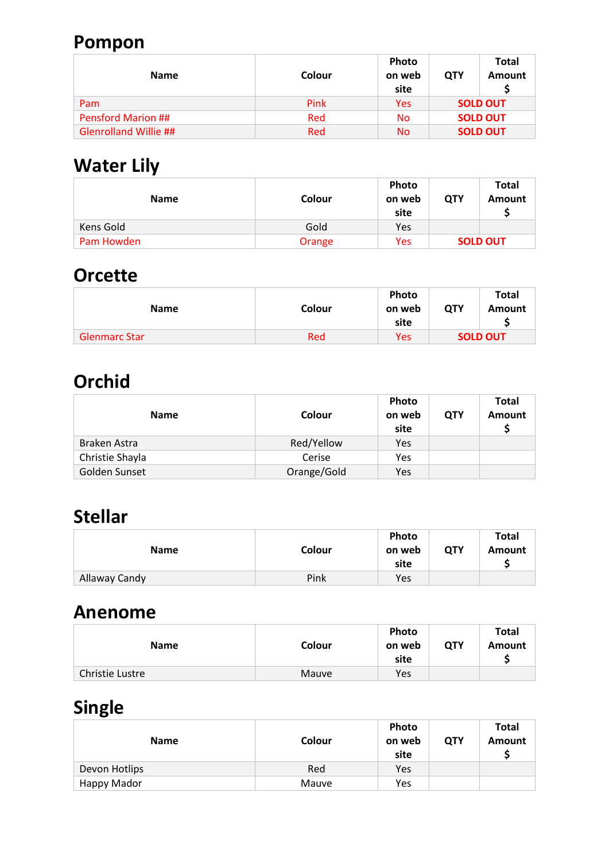## **Pompon**

| <b>Name</b>               | Colour | <b>Photo</b><br>on web<br>site | <b>QTY</b> | <b>Total</b><br>Amount |
|---------------------------|--------|--------------------------------|------------|------------------------|
| Pam                       | Pink   | Yes                            |            | <b>SOLD OUT</b>        |
| <b>Pensford Marion ##</b> | Red    | No.                            |            | <b>SOLD OUT</b>        |
| Glenrolland Willie ##     | Red    | No                             |            | <b>SOLD OUT</b>        |

# **Water Lily**

| <b>Name</b> | Colour | <b>Photo</b><br>on web<br>site | <b>QTY</b> | Total<br>Amount |
|-------------|--------|--------------------------------|------------|-----------------|
| Kens Gold   | Gold   | Yes                            |            |                 |
| Pam Howden  | Orange | Yes                            |            | <b>SOLD OUT</b> |

### **Orcette**

| <b>Name</b>   | Colour | Photo<br>on web<br>site | <b>QTY</b>      | <b>Total</b><br>Amount |
|---------------|--------|-------------------------|-----------------|------------------------|
| Glenmarc Star | Red    | Yes                     | <b>SOLD OUT</b> |                        |

### **Orchid**

| <b>Name</b>     | Colour      | Photo<br>on web<br>site | QTY | <b>Total</b><br><b>Amount</b> |
|-----------------|-------------|-------------------------|-----|-------------------------------|
| Braken Astra    | Red/Yellow  | Yes                     |     |                               |
| Christie Shayla | Cerise      | Yes                     |     |                               |
| Golden Sunset   | Orange/Gold | Yes                     |     |                               |

## **Stellar**

| <b>Name</b>   | Colour | Photo<br>on web<br>site | QTY | Total<br>Amount |
|---------------|--------|-------------------------|-----|-----------------|
| Allaway Candy | Pink   | Yes                     |     |                 |

#### **Anenome**

| <b>Name</b>            | Colour | <b>Photo</b><br>on web<br>site | <b>QTY</b> | <b>Total</b><br>Amount |
|------------------------|--------|--------------------------------|------------|------------------------|
| <b>Christie Lustre</b> | Mauve  | Yes                            |            |                        |

# **Single**

| <b>Name</b>   | Colour | <b>Photo</b><br>on web<br>site | <b>QTY</b> | <b>Total</b><br>Amount |
|---------------|--------|--------------------------------|------------|------------------------|
| Devon Hotlips | Red    | Yes                            |            |                        |
| Happy Mador   | Mauve  | Yes                            |            |                        |